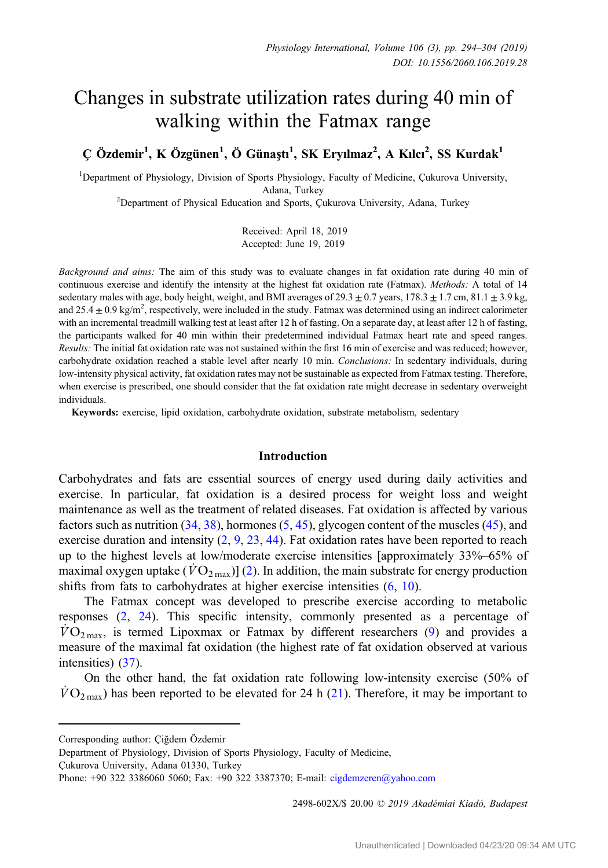# Changes in substrate utilization rates during 40 min of walking within the Fatmax range

Ç Özdemir<sup>1</sup>, K Özgünen<sup>1</sup>, Ö Günaştı<sup>1</sup>, SK Eryılmaz<sup>2</sup>, A Kılcı<sup>2</sup>, SS Kurdak<sup>1</sup>

<sup>1</sup>Department of Physiology, Division of Sports Physiology, Faculty of Medicine, Çukurova University, Adana, Turkey<br><sup>2</sup>Department of Physical Education and Sports, Çukurova University, Adana, Turkey

Received: April 18, 2019 Accepted: June 19, 2019

Background and aims: The aim of this study was to evaluate changes in fat oxidation rate during 40 min of continuous exercise and identify the intensity at the highest fat oxidation rate (Fatmax). Methods: A total of 14 sedentary males with age, body height, weight, and BMI averages of  $29.3 \pm 0.7$  years,  $178.3 \pm 1.7$  cm,  $81.1 \pm 3.9$  kg, and  $25.4 \pm 0.9$  kg/m<sup>2</sup>, respectively, were included in the study. Fatmax was determined using an indirect calorimeter with an incremental treadmill walking test at least after 12 h of fasting. On a separate day, at least after 12 h of fasting, the participants walked for 40 min within their predetermined individual Fatmax heart rate and speed ranges. Results: The initial fat oxidation rate was not sustained within the first 16 min of exercise and was reduced; however, carbohydrate oxidation reached a stable level after nearly 10 min. Conclusions: In sedentary individuals, during low-intensity physical activity, fat oxidation rates may not be sustainable as expected from Fatmax testing. Therefore, when exercise is prescribed, one should consider that the fat oxidation rate might decrease in sedentary overweight individuals.

Keywords: exercise, lipid oxidation, carbohydrate oxidation, substrate metabolism, sedentary

## Introduction

Carbohydrates and fats are essential sources of energy used during daily activities and exercise. In particular, fat oxidation is a desired process for weight loss and weight maintenance as well as the treatment of related diseases. Fat oxidation is affected by various factors such as nutrition ([34,](#page-10-0) [38\)](#page-10-0), hormones ([5,](#page-9-0) [45](#page-10-0)), glycogen content of the muscles ([45\)](#page-10-0), and exercise duration and intensity  $(2, 9, 23, 44)$  $(2, 9, 23, 44)$  $(2, 9, 23, 44)$  $(2, 9, 23, 44)$  $(2, 9, 23, 44)$  $(2, 9, 23, 44)$  $(2, 9, 23, 44)$ . Fat oxidation rates have been reported to reach up to the highest levels at low/moderate exercise intensities [approximately 33%–65% of maximal oxygen uptake ( $\hat{V}\text{O}_{2\text{ max}}$ )] ([2\)](#page-9-0). In addition, the main substrate for energy production shifts from fats to carbohydrates at higher exercise intensities ([6,](#page-9-0) [10\)](#page-9-0).

The Fatmax concept was developed to prescribe exercise according to metabolic responses [\(2](#page-9-0), [24\)](#page-9-0). This specific intensity, commonly presented as a percentage of  $VO<sub>2 max</sub>$ , is termed Lipoxmax or Fatmax by different researchers ([9\)](#page-9-0) and provides a measure of the maximal fat oxidation (the highest rate of fat oxidation observed at various intensities) ([37](#page-10-0)).

On the other hand, the fat oxidation rate following low-intensity exercise (50% of  $\overline{VO}_{2\text{ max}}$ ) has been reported to be elevated for 24 h [\(21](#page-9-0)). Therefore, it may be important to

Çukurova University, Adana 01330, Turkey

2498-602X/\$ 20.00 © 2019 Akadémiai Kiadó, Budapest

Corresponding author: Ciğdem Özdemir

Department of Physiology, Division of Sports Physiology, Faculty of Medicine,

Phone: +90 322 3386060 5060; Fax: +90 322 3387370; E-mail: [cigdemzeren@yahoo.com](mailto:cigdemzeren@yahoo.com)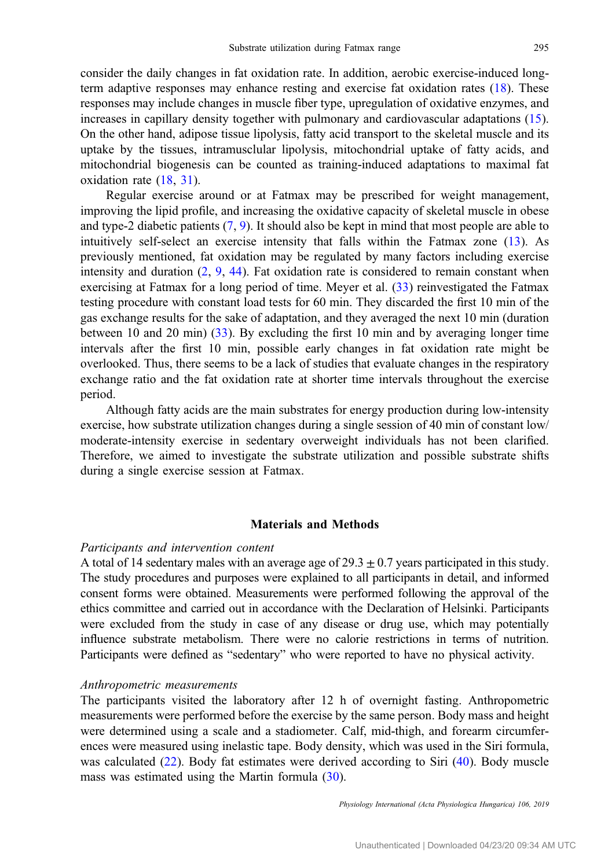consider the daily changes in fat oxidation rate. In addition, aerobic exercise-induced longterm adaptive responses may enhance resting and exercise fat oxidation rates ([18\)](#page-9-0). These responses may include changes in muscle fiber type, upregulation of oxidative enzymes, and increases in capillary density together with pulmonary and cardiovascular adaptations [\(15](#page-9-0)). On the other hand, adipose tissue lipolysis, fatty acid transport to the skeletal muscle and its uptake by the tissues, intramusclular lipolysis, mitochondrial uptake of fatty acids, and mitochondrial biogenesis can be counted as training-induced adaptations to maximal fat oxidation rate [\(18](#page-9-0), [31](#page-10-0)).

Regular exercise around or at Fatmax may be prescribed for weight management, improving the lipid profile, and increasing the oxidative capacity of skeletal muscle in obese and type-2 diabetic patients  $(7, 9)$  $(7, 9)$  $(7, 9)$  $(7, 9)$ . It should also be kept in mind that most people are able to intuitively self-select an exercise intensity that falls within the Fatmax zone ([13\)](#page-9-0). As previously mentioned, fat oxidation may be regulated by many factors including exercise intensity and duration  $(2, 9, 44)$  $(2, 9, 44)$  $(2, 9, 44)$  $(2, 9, 44)$  $(2, 9, 44)$  $(2, 9, 44)$ . Fat oxidation rate is considered to remain constant when exercising at Fatmax for a long period of time. Meyer et al. [\(33](#page-10-0)) reinvestigated the Fatmax testing procedure with constant load tests for 60 min. They discarded the first 10 min of the gas exchange results for the sake of adaptation, and they averaged the next 10 min (duration between 10 and 20 min) ([33\)](#page-10-0). By excluding the first 10 min and by averaging longer time intervals after the first 10 min, possible early changes in fat oxidation rate might be overlooked. Thus, there seems to be a lack of studies that evaluate changes in the respiratory exchange ratio and the fat oxidation rate at shorter time intervals throughout the exercise period.

Although fatty acids are the main substrates for energy production during low-intensity exercise, how substrate utilization changes during a single session of 40 min of constant low/ moderate-intensity exercise in sedentary overweight individuals has not been clarified. Therefore, we aimed to investigate the substrate utilization and possible substrate shifts during a single exercise session at Fatmax.

### Materials and Methods

#### Participants and intervention content

A total of 14 sedentary males with an average age of  $29.3 \pm 0.7$  years participated in this study. The study procedures and purposes were explained to all participants in detail, and informed consent forms were obtained. Measurements were performed following the approval of the ethics committee and carried out in accordance with the Declaration of Helsinki. Participants were excluded from the study in case of any disease or drug use, which may potentially influence substrate metabolism. There were no calorie restrictions in terms of nutrition. Participants were defined as "sedentary" who were reported to have no physical activity.

#### Anthropometric measurements

The participants visited the laboratory after 12 h of overnight fasting. Anthropometric measurements were performed before the exercise by the same person. Body mass and height were determined using a scale and a stadiometer. Calf, mid-thigh, and forearm circumferences were measured using inelastic tape. Body density, which was used in the Siri formula, was calculated ([22\)](#page-9-0). Body fat estimates were derived according to Siri ([40\)](#page-10-0). Body muscle mass was estimated using the Martin formula ([30\)](#page-10-0).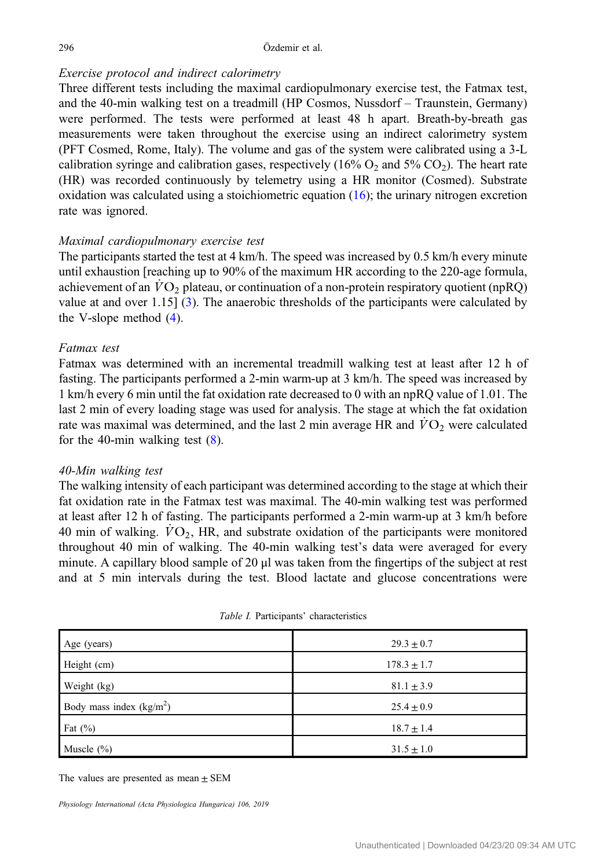### <span id="page-2-0"></span>296 Özdemir et al.

# Exercise protocol and indirect calorimetry

Three different tests including the maximal cardiopulmonary exercise test, the Fatmax test, and the 40-min walking test on a treadmill (HP Cosmos, Nussdorf – Traunstein, Germany) were performed. The tests were performed at least 48 h apart. Breath-by-breath gas measurements were taken throughout the exercise using an indirect calorimetry system (PFT Cosmed, Rome, Italy). The volume and gas of the system were calibrated using a 3-L calibration syringe and calibration gases, respectively  $(16\% O_2)$  and  $5\% CO_2$ ). The heart rate (HR) was recorded continuously by telemetry using a HR monitor (Cosmed). Substrate oxidation was calculated using a stoichiometric equation  $(16)$  $(16)$ ; the urinary nitrogen excretion rate was ignored.

# Maximal cardiopulmonary exercise test

The participants started the test at 4 km/h. The speed was increased by 0.5 km/h every minute until exhaustion [reaching up to 90% of the maximum HR according to the 220-age formula, achievement of an  $VO<sub>2</sub>$  plateau, or continuation of a non-protein respiratory quotient (npRQ) value at and over 1.15] [\(3](#page-9-0)). The anaerobic thresholds of the participants were calculated by the V-slope method [\(4](#page-9-0)).

# Fatmax test

Fatmax was determined with an incremental treadmill walking test at least after 12 h of fasting. The participants performed a 2-min warm-up at 3 km/h. The speed was increased by 1 km/h every 6 min until the fat oxidation rate decreased to 0 with an npRQ value of 1.01. The last 2 min of every loading stage was used for analysis. The stage at which the fat oxidation rate was maximal was determined, and the last 2 min average HR and  $\dot{V}O_2$  were calculated for the 40-min walking test  $(8)$  $(8)$ .

# 40-Min walking test

The walking intensity of each participant was determined according to the stage at which their fat oxidation rate in the Fatmax test was maximal. The 40-min walking test was performed at least after 12 h of fasting. The participants performed a 2-min warm-up at 3 km/h before 40 min of walking.  $\dot{V}O_2$ , HR, and substrate oxidation of the participants were monitored throughout 40 min of walking. The 40-min walking test's data were averaged for every minute. A capillary blood sample of 20 μl was taken from the fingertips of the subject at rest and at 5 min intervals during the test. Blood lactate and glucose concentrations were

| Age (years)               | $29.3 \pm 0.7$  |
|---------------------------|-----------------|
| Height (cm)               | $178.3 \pm 1.7$ |
| Weight (kg)               | $81.1 \pm 3.9$  |
| Body mass index $(kg/m2)$ | $25.4 \pm 0.9$  |
| Fat $(\%)$                | $18.7 \pm 1.4$  |
| Muscle $(\% )$            | $31.5 \pm 1.0$  |

| Table I. Participants' characteristics |  |
|----------------------------------------|--|
|----------------------------------------|--|

The values are presented as mean  $\pm$  SEM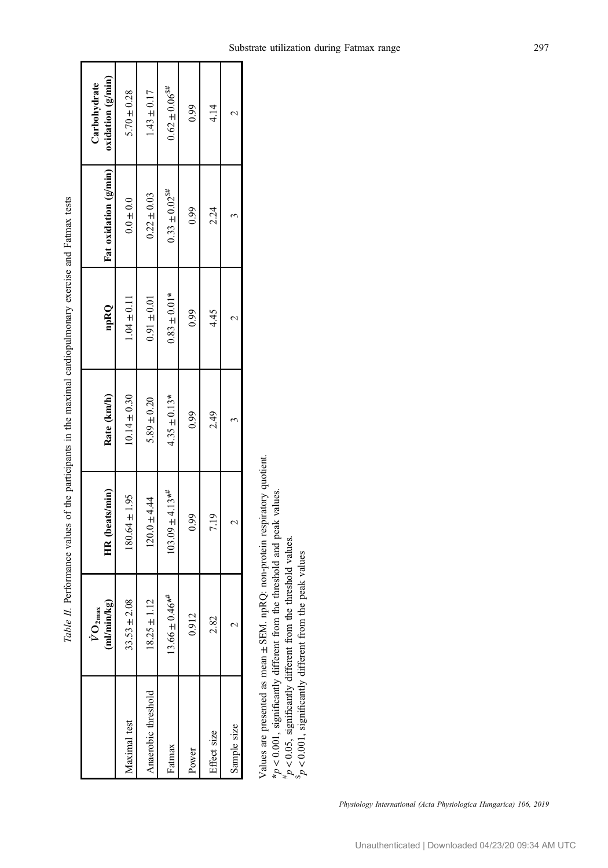<span id="page-3-0"></span>

|                     | /min/kg)<br>$O_{2max}$<br>ī | HR (beats/min)      | Rate (km/h)      | npRQ             | Fat oxidation (g/min)          | oxidation (g/min)<br>Carbohydrate |
|---------------------|-----------------------------|---------------------|------------------|------------------|--------------------------------|-----------------------------------|
| Aaximal test        | $33.53 \pm 2.08$            | $180.64 \pm 1.95$   | $10.14 \pm 0.30$ | $1.04 \pm 0.11$  | $0.0\pm0.0$                    | $5.70 \pm 0.28$                   |
| Anaerobic threshold | $25 \pm 1.12$               | $120.0 + 4.44$      | $5.89 \pm 0.20$  | $0.91 \pm 0.01$  | $0.22 \pm 0.03$                | $1.43 \pm 0.17$                   |
| Fatmax              | $6 \pm 0.46**$<br>13.66     | $103.09 \pm 4.13**$ | $4.35 \pm 0.13*$ | $0.83 \pm 0.01*$ | $0.33 \pm 0.02$ <sup>\$#</sup> | $0.62 \pm 0.06$ <sup>5#</sup>     |
| Power               | 0.912                       | 0.99                | 0.99             | 0.99             | 0.99                           | 0.99                              |
| iffect size         | 2.82                        | 7.19                | 2.49             | 4.45             | 2.24                           | 4.14                              |
| Sample size         |                             |                     |                  |                  |                                |                                   |
|                     |                             |                     |                  |                  |                                |                                   |

Table II. Performance values of the participants in the maximal cardiopulmonary exercise and Fatmax tests Table II. Performance values of the participants in the maximal cardiopulmonary exercise and Fatmax tests

> Values are presented as mean Values are presented as mean ± SEM. npRQ: non-protein respiratory quotient. SEM. npRQ: non-protein respiratory quotient. \*p <0.001, significantly different from the threshold and peak values.

 $> d_{\#}$  0.05, significantly different from the threshold values.  $> d_s$  $0.001$ , significantly different from the peak values

Physiology International (Acta Physiologica Hungarica) 106, 2019

٦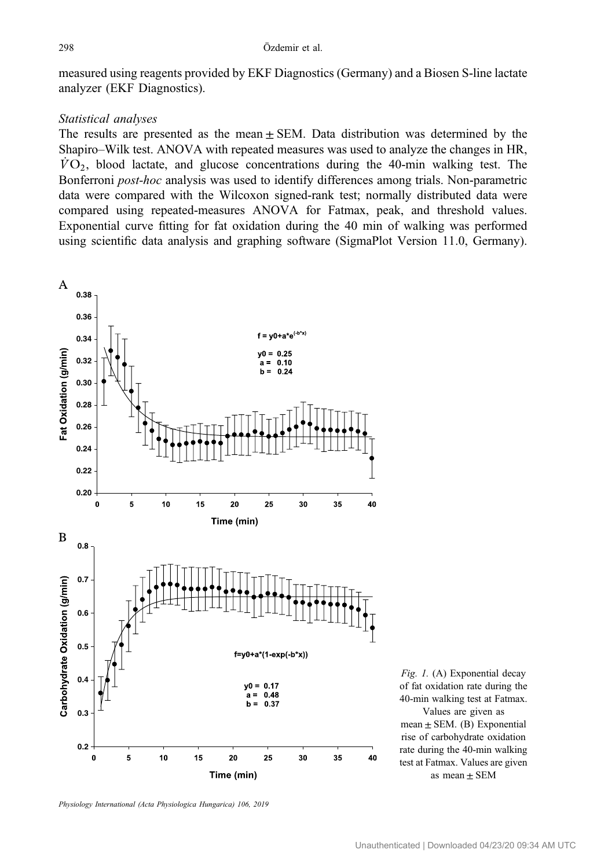<span id="page-4-0"></span>measured using reagents provided by EKF Diagnostics (Germany) and a Biosen S-line lactate analyzer (EKF Diagnostics).

## Statistical analyses

The results are presented as the mean  $\pm$  SEM. Data distribution was determined by the Shapiro–Wilk test. ANOVA with repeated measures was used to analyze the changes in HR,  $\dot{V}O_2$ , blood lactate, and glucose concentrations during the 40-min walking test. The Bonferroni post-hoc analysis was used to identify differences among trials. Non-parametric data were compared with the Wilcoxon signed-rank test; normally distributed data were compared using repeated-measures ANOVA for Fatmax, peak, and threshold values. Exponential curve fitting for fat oxidation during the 40 min of walking was performed using scientific data analysis and graphing software (SigmaPlot Version 11.0, Germany).



Fig. 1. (A) Exponential decay of fat oxidation rate during the 40-min walking test at Fatmax. Values are given as mean  $\pm$  SEM. (B) Exponential rise of carbohydrate oxidation rate during the 40-min walking test at Fatmax. Values are given as mean  $\pm$  SEM

Physiology International (Acta Physiologica Hungarica) 106, 2019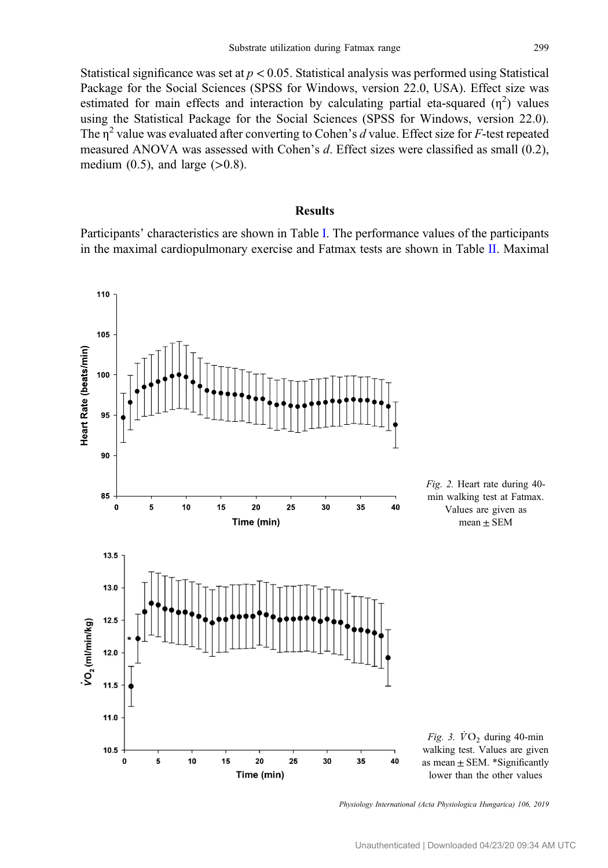<span id="page-5-0"></span>Statistical significance was set at  $p < 0.05$ . Statistical analysis was performed using Statistical Package for the Social Sciences (SPSS for Windows, version 22.0, USA). Effect size was estimated for main effects and interaction by calculating partial eta-squared  $(\eta^2)$  values using the Statistical Package for the Social Sciences (SPSS for Windows, version 22.0). The  $\eta^2$  value was evaluated after converting to Cohen's d value. Effect size for F-test repeated measured ANOVA was assessed with Cohen's d. Effect sizes were classified as small (0.2), medium  $(0.5)$ , and large  $(>0.8)$ .

## Results

Participants' characteristics are shown in Table [I.](#page-2-0) The performance values of the participants in the maximal cardiopulmonary exercise and Fatmax tests are shown in Table [II.](#page-3-0) Maximal



Physiology International (Acta Physiologica Hungarica) 106, 2019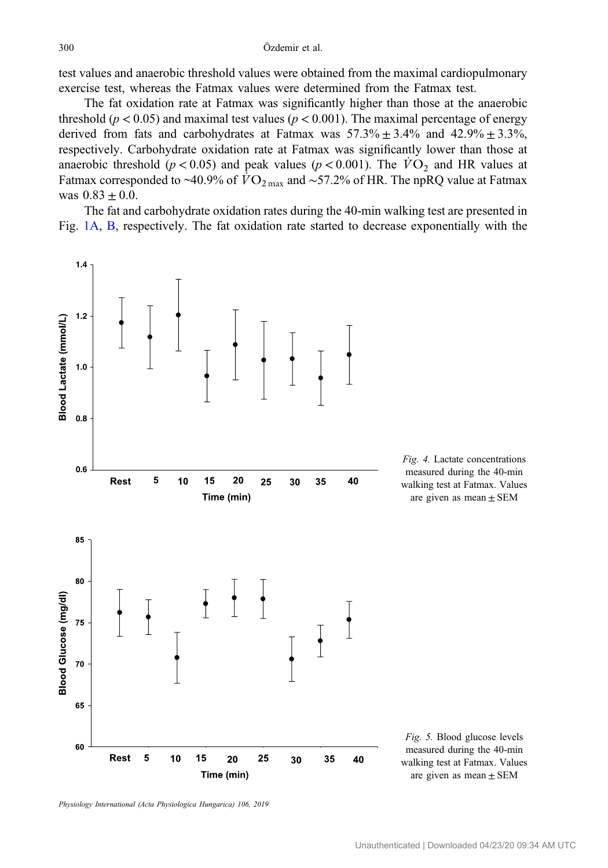<span id="page-6-0"></span>test values and anaerobic threshold values were obtained from the maximal cardiopulmonary exercise test, whereas the Fatmax values were determined from the Fatmax test.

The fat oxidation rate at Fatmax was significantly higher than those at the anaerobic threshold ( $p < 0.05$ ) and maximal test values ( $p < 0.001$ ). The maximal percentage of energy derived from fats and carbohydrates at Fatmax was  $57.3\% \pm 3.4\%$  and  $42.9\% \pm 3.3\%$ , respectively. Carbohydrate oxidation rate at Fatmax was significantly lower than those at anaerobic threshold ( $p < 0.05$ ) and peak values ( $p < 0.001$ ). The  $\overline{VO}_2$  and HR values at Fatmax corresponded to ~40.9% of  $\overline{VO}_{2\text{ max}}$  and ~57.2% of HR. The npRQ value at Fatmax was  $0.83 \pm 0.0$ .

The fat and carbohydrate oxidation rates during the 40-min walking test are presented in Fig. [1A,](#page-4-0) [B](#page-4-0), respectively. The fat oxidation rate started to decrease exponentially with the



Physiology International (Acta Physiologica Hungarica) 106, 2019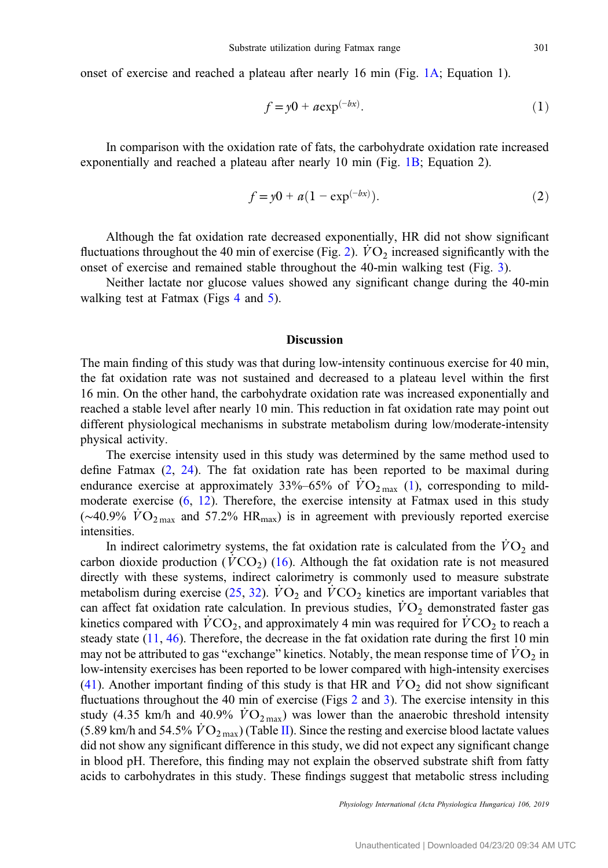onset of exercise and reached a plateau after nearly 16 min (Fig. [1A;](#page-4-0) Equation 1).

Substrate utilization during Fatmax range  
d a plateau after nearly 16 min (Fig. 1A; Equation 1).  

$$
f = y0 + a \exp(-bx).
$$
 (1)

In comparison with the oxidation rate of fats, the carbohydrate oxidation rate increased exponentially and reached a plateau after nearly 10 min (Fig. [1B;](#page-4-0) Equation 2).  $f = y0 + a \exp^{(-bx)}$ .<br>ation rate of fats, the ca<br>eau after nearly 10 min<br> $f = y0 + a(1 - \exp^{(-bx)})$ 

$$
f = y0 + a(1 - \exp^{(-bx)}).
$$
 (2)

Although the fat oxidation rate decreased exponentially, HR did not show significant fluctuations throughout the 40 min of exercise (Fig. [2\)](#page-5-0).  $\dot{V}\text{O}_2$  increased significantly with the onset of exercise and remained stable throughout the 40-min walking test (Fig. [3\)](#page-5-0).

Neither lactate nor glucose values showed any significant change during the 40-min walking test at Fatmax (Figs [4](#page-6-0) and [5\)](#page-6-0).

#### **Discussion**

The main finding of this study was that during low-intensity continuous exercise for 40 min, the fat oxidation rate was not sustained and decreased to a plateau level within the first 16 min. On the other hand, the carbohydrate oxidation rate was increased exponentially and reached a stable level after nearly 10 min. This reduction in fat oxidation rate may point out different physiological mechanisms in substrate metabolism during low/moderate-intensity physical activity.

The exercise intensity used in this study was determined by the same method used to define Fatmax  $(2, 24)$  $(2, 24)$  $(2, 24)$  $(2, 24)$ . The fat oxidation rate has been reported to be maximal during endurance exercise at approximately 33%–65% of  $\dot{V}\text{O}_{2\text{ max}}$  ([1\)](#page-9-0), corresponding to mildmoderate exercise [\(6](#page-9-0), [12](#page-9-0)). Therefore, the exercise intensity at Fatmax used in this study ( $\sim$ 40.9%  $\dot{V}O_{2\text{ max}}$  and 57.2% HR<sub>max</sub>) is in agreement with previously reported exercise intensities.

In indirect calorimetry systems, the fat oxidation rate is calculated from the  $\dot{V}\text{O}_2$  and carbon dioxide production ( $\hat{V}CO_2$ ) ([16\)](#page-9-0). Although the fat oxidation rate is not measured directly with these systems, indirect calorimetry is commonly used to measure substrate metabolism during exercise [\(25](#page-10-0), [32\)](#page-10-0).  $\dot{V}\text{O}_2$  and  $\dot{V}\text{CO}_2$  kinetics are important variables that can affect fat oxidation rate calculation. In previous studies,  $\dot{V}O_2$  demonstrated faster gas kinetics compared with  $VCO<sub>2</sub>$ , and approximately 4 min was required for  $VCO<sub>2</sub>$  to reach a steady state  $(11, 46)$  $(11, 46)$  $(11, 46)$  $(11, 46)$ . Therefore, the decrease in the fat oxidation rate during the first 10 min may not be attributed to gas "exchange" kinetics. Notably, the mean response time of  $\dot{V}O_2$  in low-intensity exercises has been reported to be lower compared with high-intensity exercises [\(41](#page-10-0)). Another important finding of this study is that HR and  $\dot{V}O_2$  did not show significant fluctuations throughout the 40 min of exercise (Figs [2](#page-5-0) and [3\)](#page-5-0). The exercise intensity in this study (4.35 km/h and 40.9%  $\dot{V}O_{2\,\text{max}}$ ) was lower than the anaerobic threshold intensity (5.89 km/h and 54.5%  $\dot{V}\text{O}_{2\text{max}}$ ) (Table [II\)](#page-3-0). Since the resting and exercise blood lactate values did not show any significant difference in this study, we did not expect any significant change in blood pH. Therefore, this finding may not explain the observed substrate shift from fatty acids to carbohydrates in this study. These findings suggest that metabolic stress including

Physiology International (Acta Physiologica Hungarica) 106, 2019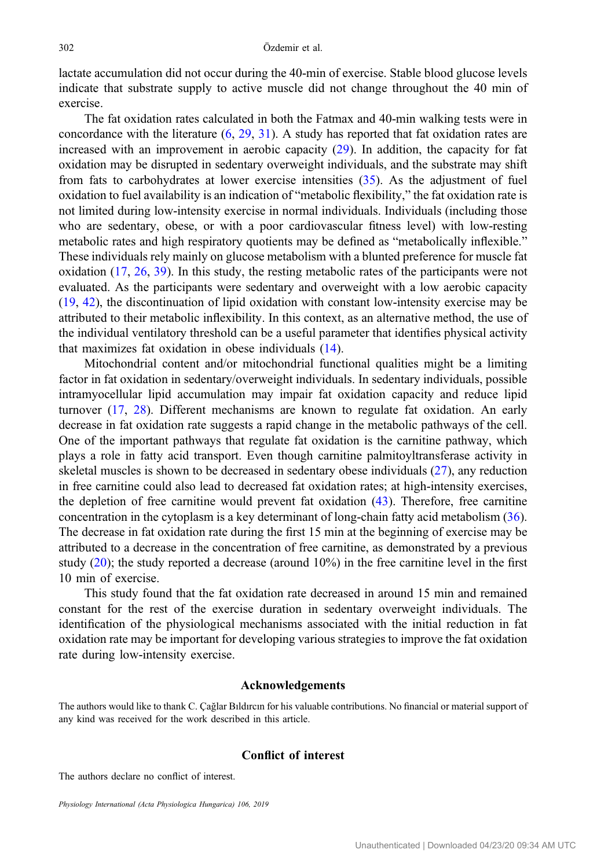lactate accumulation did not occur during the 40-min of exercise. Stable blood glucose levels indicate that substrate supply to active muscle did not change throughout the 40 min of exercise.

The fat oxidation rates calculated in both the Fatmax and 40-min walking tests were in concordance with the literature  $(6, 29, 31)$  $(6, 29, 31)$  $(6, 29, 31)$  $(6, 29, 31)$  $(6, 29, 31)$  $(6, 29, 31)$ . A study has reported that fat oxidation rates are increased with an improvement in aerobic capacity ([29\)](#page-10-0). In addition, the capacity for fat oxidation may be disrupted in sedentary overweight individuals, and the substrate may shift from fats to carbohydrates at lower exercise intensities [\(35](#page-10-0)). As the adjustment of fuel oxidation to fuel availability is an indication of "metabolic flexibility," the fat oxidation rate is not limited during low-intensity exercise in normal individuals. Individuals (including those who are sedentary, obese, or with a poor cardiovascular fitness level) with low-resting metabolic rates and high respiratory quotients may be defined as "metabolically inflexible." These individuals rely mainly on glucose metabolism with a blunted preference for muscle fat oxidation ([17,](#page-9-0) [26](#page-10-0), [39\)](#page-10-0). In this study, the resting metabolic rates of the participants were not evaluated. As the participants were sedentary and overweight with a low aerobic capacity [\(19](#page-9-0), [42\)](#page-10-0), the discontinuation of lipid oxidation with constant low-intensity exercise may be attributed to their metabolic inflexibility. In this context, as an alternative method, the use of the individual ventilatory threshold can be a useful parameter that identifies physical activity that maximizes fat oxidation in obese individuals ([14\)](#page-9-0).

Mitochondrial content and/or mitochondrial functional qualities might be a limiting factor in fat oxidation in sedentary/overweight individuals. In sedentary individuals, possible intramyocellular lipid accumulation may impair fat oxidation capacity and reduce lipid turnover [\(17](#page-9-0), [28\)](#page-10-0). Different mechanisms are known to regulate fat oxidation. An early decrease in fat oxidation rate suggests a rapid change in the metabolic pathways of the cell. One of the important pathways that regulate fat oxidation is the carnitine pathway, which plays a role in fatty acid transport. Even though carnitine palmitoyltransferase activity in skeletal muscles is shown to be decreased in sedentary obese individuals [\(27](#page-10-0)), any reduction in free carnitine could also lead to decreased fat oxidation rates; at high-intensity exercises, the depletion of free carnitine would prevent fat oxidation [\(43](#page-10-0)). Therefore, free carnitine concentration in the cytoplasm is a key determinant of long-chain fatty acid metabolism [\(36](#page-10-0)). The decrease in fat oxidation rate during the first 15 min at the beginning of exercise may be attributed to a decrease in the concentration of free carnitine, as demonstrated by a previous study  $(20)$  $(20)$ ; the study reported a decrease (around  $10\%$ ) in the free carnitine level in the first 10 min of exercise.

This study found that the fat oxidation rate decreased in around 15 min and remained constant for the rest of the exercise duration in sedentary overweight individuals. The identification of the physiological mechanisms associated with the initial reduction in fat oxidation rate may be important for developing various strategies to improve the fat oxidation rate during low-intensity exercise.

## Acknowledgements

The authors would like to thank C. Çağlar Bıldırcın for his valuable contributions. No financial or material support of any kind was received for the work described in this article.

# Conflict of interest

The authors declare no conflict of interest.

Physiology International (Acta Physiologica Hungarica) 106, 2019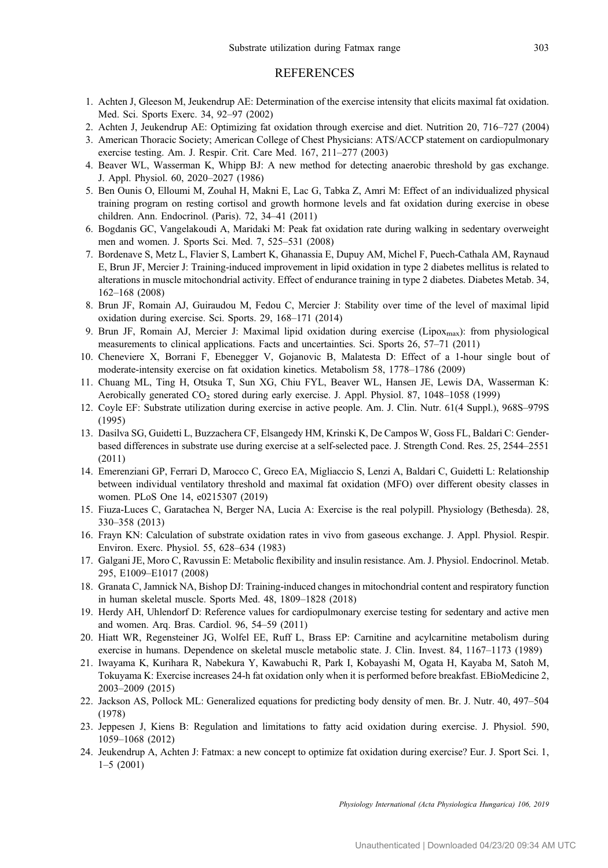## **REFERENCES**

- <span id="page-9-0"></span>1. Achten J, Gleeson M, Jeukendrup AE: Determination of the exercise intensity that elicits maximal fat oxidation. Med. Sci. Sports Exerc. 34, 92–97 (2002)
- 2. Achten J, Jeukendrup AE: Optimizing fat oxidation through exercise and diet. Nutrition 20, 716–727 (2004)
- 3. American Thoracic Society; American College of Chest Physicians: ATS/ACCP statement on cardiopulmonary exercise testing. Am. J. Respir. Crit. Care Med. 167, 211–277 (2003)
- 4. Beaver WL, Wasserman K, Whipp BJ: A new method for detecting anaerobic threshold by gas exchange. J. Appl. Physiol. 60, 2020–2027 (1986)
- 5. Ben Ounis O, Elloumi M, Zouhal H, Makni E, Lac G, Tabka Z, Amri M: Effect of an individualized physical training program on resting cortisol and growth hormone levels and fat oxidation during exercise in obese children. Ann. Endocrinol. (Paris). 72, 34–41 (2011)
- 6. Bogdanis GC, Vangelakoudi A, Maridaki M: Peak fat oxidation rate during walking in sedentary overweight men and women. J. Sports Sci. Med. 7, 525–531 (2008)
- 7. Bordenave S, Metz L, Flavier S, Lambert K, Ghanassia E, Dupuy AM, Michel F, Puech-Cathala AM, Raynaud E, Brun JF, Mercier J: Training-induced improvement in lipid oxidation in type 2 diabetes mellitus is related to alterations in muscle mitochondrial activity. Effect of endurance training in type 2 diabetes. Diabetes Metab. 34, 162–168 (2008)
- 8. Brun JF, Romain AJ, Guiraudou M, Fedou C, Mercier J: Stability over time of the level of maximal lipid oxidation during exercise. Sci. Sports. 29, 168–171 (2014)
- 9. Brun JF, Romain AJ, Mercier J: Maximal lipid oxidation during exercise (Lipox<sub>max</sub>): from physiological measurements to clinical applications. Facts and uncertainties. Sci. Sports 26, 57–71 (2011)
- 10. Cheneviere X, Borrani F, Ebenegger V, Gojanovic B, Malatesta D: Effect of a 1-hour single bout of moderate-intensity exercise on fat oxidation kinetics. Metabolism 58, 1778–1786 (2009)
- 11. Chuang ML, Ting H, Otsuka T, Sun XG, Chiu FYL, Beaver WL, Hansen JE, Lewis DA, Wasserman K: Aerobically generated CO<sub>2</sub> stored during early exercise. J. Appl. Physiol. 87, 1048–1058 (1999)
- 12. Coyle EF: Substrate utilization during exercise in active people. Am. J. Clin. Nutr. 61(4 Suppl.), 968S–979S (1995)
- 13. Dasilva SG, Guidetti L, Buzzachera CF, Elsangedy HM, Krinski K, De Campos W, Goss FL, Baldari C: Genderbased differences in substrate use during exercise at a self-selected pace. J. Strength Cond. Res. 25, 2544–2551 (2011)
- 14. Emerenziani GP, Ferrari D, Marocco C, Greco EA, Migliaccio S, Lenzi A, Baldari C, Guidetti L: Relationship between individual ventilatory threshold and maximal fat oxidation (MFO) over different obesity classes in women. PLoS One 14, e0215307 (2019)
- 15. Fiuza-Luces C, Garatachea N, Berger NA, Lucia A: Exercise is the real polypill. Physiology (Bethesda). 28, 330–358 (2013)
- 16. Frayn KN: Calculation of substrate oxidation rates in vivo from gaseous exchange. J. Appl. Physiol. Respir. Environ. Exerc. Physiol. 55, 628–634 (1983)
- 17. Galgani JE, Moro C, Ravussin E: Metabolic flexibility and insulin resistance. Am. J. Physiol. Endocrinol. Metab. 295, E1009–E1017 (2008)
- 18. Granata C, Jamnick NA, Bishop DJ: Training-induced changes in mitochondrial content and respiratory function in human skeletal muscle. Sports Med. 48, 1809–1828 (2018)
- 19. Herdy AH, Uhlendorf D: Reference values for cardiopulmonary exercise testing for sedentary and active men and women. Arq. Bras. Cardiol. 96, 54–59 (2011)
- 20. Hiatt WR, Regensteiner JG, Wolfel EE, Ruff L, Brass EP: Carnitine and acylcarnitine metabolism during exercise in humans. Dependence on skeletal muscle metabolic state. J. Clin. Invest. 84, 1167–1173 (1989)
- 21. Iwayama K, Kurihara R, Nabekura Y, Kawabuchi R, Park I, Kobayashi M, Ogata H, Kayaba M, Satoh M, Tokuyama K: Exercise increases 24-h fat oxidation only when it is performed before breakfast. EBioMedicine 2, 2003–2009 (2015)
- 22. Jackson AS, Pollock ML: Generalized equations for predicting body density of men. Br. J. Nutr. 40, 497–504 (1978)
- 23. Jeppesen J, Kiens B: Regulation and limitations to fatty acid oxidation during exercise. J. Physiol. 590, 1059–1068 (2012)
- 24. Jeukendrup A, Achten J: Fatmax: a new concept to optimize fat oxidation during exercise? Eur. J. Sport Sci. 1, 1–5 (2001)